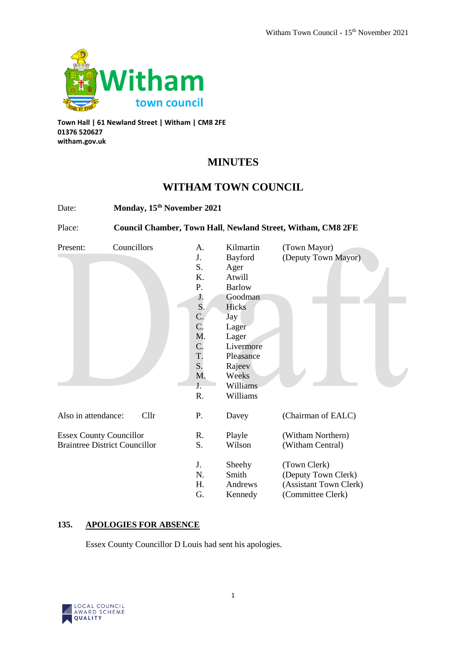

**Town Hall | 61 Newland Street | Witham | CM8 2FE 01376 520627 witham.gov.uk**

# **MINUTES**

## **WITHAM TOWN COUNCIL**

| Date:                                | Monday, 15th November 2021<br>Council Chamber, Town Hall, Newland Street, Witham, CM8 2FE |                  |                 |                        |
|--------------------------------------|-------------------------------------------------------------------------------------------|------------------|-----------------|------------------------|
| Place:                               |                                                                                           |                  |                 |                        |
| Present:                             | Councillors                                                                               | A.               | Kilmartin       | (Town Mayor)           |
|                                      |                                                                                           | J.               | Bayford         | (Deputy Town Mayor)    |
|                                      |                                                                                           | S.               | Ager            |                        |
|                                      |                                                                                           | K.               | Atwill          |                        |
|                                      |                                                                                           | P.               | <b>Barlow</b>   |                        |
|                                      |                                                                                           | J.               | Goodman         |                        |
|                                      |                                                                                           | S.               | Hicks           |                        |
|                                      |                                                                                           | $\mathbf{C}$ .   | Jay             |                        |
|                                      |                                                                                           | C.               | Lager           |                        |
|                                      |                                                                                           | M.               | Lager           |                        |
|                                      |                                                                                           | $\overline{C}$ . | Livermore       |                        |
|                                      |                                                                                           | T.               | Pleasance       |                        |
|                                      |                                                                                           | S.               | Rajeev          |                        |
|                                      |                                                                                           | M.               | Weeks           |                        |
|                                      |                                                                                           | J.               | <b>Williams</b> |                        |
|                                      |                                                                                           | R.               | Williams        |                        |
| Also in attendance:                  | Cllr                                                                                      | Ρ.               | Davey           | (Chairman of EALC)     |
| <b>Essex County Councillor</b>       |                                                                                           | R.               | Playle          | (Witham Northern)      |
| <b>Braintree District Councillor</b> |                                                                                           | S.               | Wilson          | (Witham Central)       |
|                                      |                                                                                           | J.               | Sheehy          | (Town Clerk)           |
|                                      |                                                                                           | N.               | Smith           | (Deputy Town Clerk)    |
|                                      |                                                                                           | Η.               | Andrews         | (Assistant Town Clerk) |
|                                      |                                                                                           | G.               | Kennedy         | (Committee Clerk)      |

## **135. APOLOGIES FOR ABSENCE**

Essex County Councillor D Louis had sent his apologies.

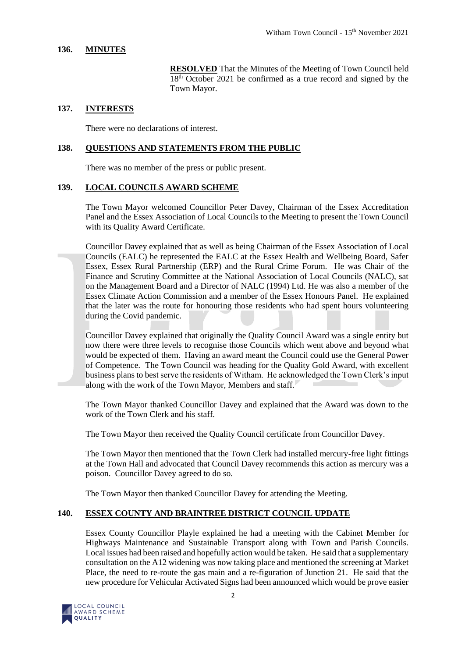#### **136. MINUTES**

**RESOLVED** That the Minutes of the Meeting of Town Council held 18<sup>th</sup> October 2021 be confirmed as a true record and signed by the Town Mayor.

#### **137. INTERESTS**

There were no declarations of interest.

#### **138. QUESTIONS AND STATEMENTS FROM THE PUBLIC**

There was no member of the press or public present.

#### **139. LOCAL COUNCILS AWARD SCHEME**

The Town Mayor welcomed Councillor Peter Davey, Chairman of the Essex Accreditation Panel and the Essex Association of Local Councils to the Meeting to present the Town Council with its Quality Award Certificate.

Councillor Davey explained that as well as being Chairman of the Essex Association of Local Councils (EALC) he represented the EALC at the Essex Health and Wellbeing Board, Safer Essex, Essex Rural Partnership (ERP) and the Rural Crime Forum. He was Chair of the Finance and Scrutiny Committee at the National Association of Local Councils (NALC), sat on the Management Board and a Director of NALC (1994) Ltd. He was also a member of the Essex Climate Action Commission and a member of the Essex Honours Panel. He explained that the later was the route for honouring those residents who had spent hours volunteering during the Covid pandemic.

Councillor Davey explained that originally the Quality Council Award was a single entity but now there were three levels to recognise those Councils which went above and beyond what would be expected of them. Having an award meant the Council could use the General Power of Competence. The Town Council was heading for the Quality Gold Award, with excellent business plans to best serve the residents of Witham. He acknowledged the Town Clerk's input along with the work of the Town Mayor, Members and staff.

The Town Mayor thanked Councillor Davey and explained that the Award was down to the work of the Town Clerk and his staff.

The Town Mayor then received the Quality Council certificate from Councillor Davey.

The Town Mayor then mentioned that the Town Clerk had installed mercury-free light fittings at the Town Hall and advocated that Council Davey recommends this action as mercury was a poison. Councillor Davey agreed to do so.

The Town Mayor then thanked Councillor Davey for attending the Meeting.

#### **140. ESSEX COUNTY AND BRAINTREE DISTRICT COUNCIL UPDATE**

Essex County Councillor Playle explained he had a meeting with the Cabinet Member for Highways Maintenance and Sustainable Transport along with Town and Parish Councils. Local issues had been raised and hopefully action would be taken. He said that a supplementary consultation on the A12 widening was now taking place and mentioned the screening at Market Place, the need to re-route the gas main and a re-figuration of Junction 21. He said that the new procedure for Vehicular Activated Signs had been announced which would be prove easier

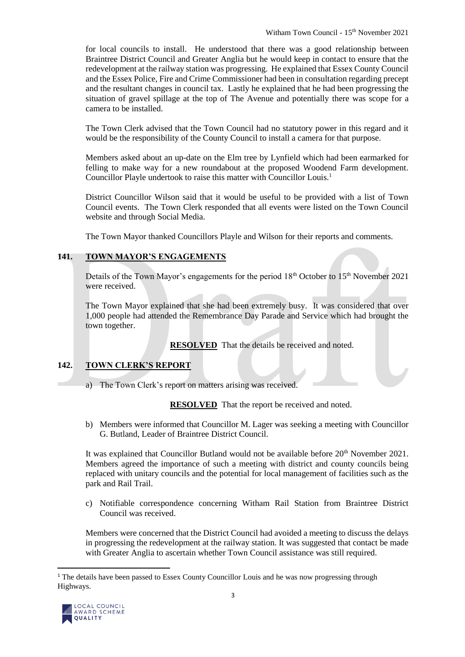for local councils to install. He understood that there was a good relationship between Braintree District Council and Greater Anglia but he would keep in contact to ensure that the redevelopment at the railway station was progressing. He explained that Essex County Council and the Essex Police, Fire and Crime Commissioner had been in consultation regarding precept and the resultant changes in council tax. Lastly he explained that he had been progressing the situation of gravel spillage at the top of The Avenue and potentially there was scope for a camera to be installed.

The Town Clerk advised that the Town Council had no statutory power in this regard and it would be the responsibility of the County Council to install a camera for that purpose.

Members asked about an up-date on the Elm tree by Lynfield which had been earmarked for felling to make way for a new roundabout at the proposed Woodend Farm development. Councillor Playle undertook to raise this matter with Councillor Louis.<sup>1</sup>

District Councillor Wilson said that it would be useful to be provided with a list of Town Council events. The Town Clerk responded that all events were listed on the Town Council website and through Social Media.

The Town Mayor thanked Councillors Playle and Wilson for their reports and comments.

### **141. TOWN MAYOR'S ENGAGEMENTS**

Details of the Town Mayor's engagements for the period  $18<sup>th</sup>$  October to  $15<sup>th</sup>$  November 2021 were received.

The Town Mayor explained that she had been extremely busy. It was considered that over 1,000 people had attended the Remembrance Day Parade and Service which had brought the town together.

**RESOLVED** That the details be received and noted.

#### **142. TOWN CLERK'S REPORT**

a) The Town Clerk's report on matters arising was received.

**RESOLVED** That the report be received and noted.

b) Members were informed that Councillor M. Lager was seeking a meeting with Councillor G. Butland, Leader of Braintree District Council.

It was explained that Councillor Butland would not be available before  $20^{th}$  November 2021. Members agreed the importance of such a meeting with district and county councils being replaced with unitary councils and the potential for local management of facilities such as the park and Rail Trail.

c) Notifiable correspondence concerning Witham Rail Station from Braintree District Council was received.

Members were concerned that the District Council had avoided a meeting to discuss the delays in progressing the redevelopment at the railway station. It was suggested that contact be made with Greater Anglia to ascertain whether Town Council assistance was still required.

<sup>&</sup>lt;sup>1</sup> The details have been passed to Essex County Councillor Louis and he was now progressing through Highways.



 $\overline{a}$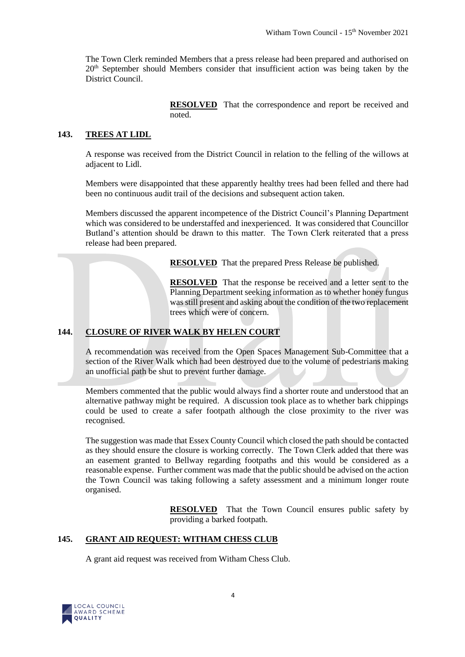The Town Clerk reminded Members that a press release had been prepared and authorised on 20th September should Members consider that insufficient action was being taken by the District Council.

> **RESOLVED** That the correspondence and report be received and noted.

#### **143. TREES AT LIDL**

A response was received from the District Council in relation to the felling of the willows at adjacent to Lidl.

Members were disappointed that these apparently healthy trees had been felled and there had been no continuous audit trail of the decisions and subsequent action taken.

Members discussed the apparent incompetence of the District Council's Planning Department which was considered to be understaffed and inexperienced. It was considered that Councillor Butland's attention should be drawn to this matter. The Town Clerk reiterated that a press release had been prepared.

**RESOLVED** That the prepared Press Release be published.

**RESOLVED** That the response be received and a letter sent to the Planning Department seeking information as to whether honey fungus was still present and asking about the condition of the two replacement trees which were of concern.

#### **144. CLOSURE OF RIVER WALK BY HELEN COURT**

A recommendation was received from the Open Spaces Management Sub-Committee that a section of the River Walk which had been destroyed due to the volume of pedestrians making an unofficial path be shut to prevent further damage.

Members commented that the public would always find a shorter route and understood that an alternative pathway might be required. A discussion took place as to whether bark chippings could be used to create a safer footpath although the close proximity to the river was recognised.

The suggestion was made that Essex County Council which closed the path should be contacted as they should ensure the closure is working correctly. The Town Clerk added that there was an easement granted to Bellway regarding footpaths and this would be considered as a reasonable expense. Further comment was made that the public should be advised on the action the Town Council was taking following a safety assessment and a minimum longer route organised.

> **RESOLVED** That the Town Council ensures public safety by providing a barked footpath.

#### **145. GRANT AID REQUEST: WITHAM CHESS CLUB**

A grant aid request was received from Witham Chess Club.

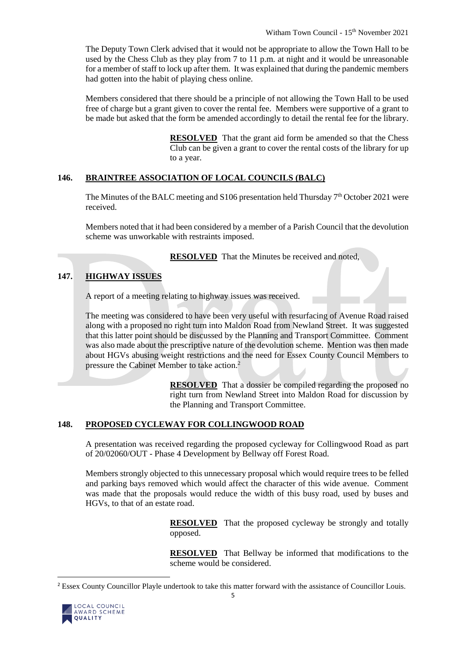The Deputy Town Clerk advised that it would not be appropriate to allow the Town Hall to be used by the Chess Club as they play from 7 to 11 p.m. at night and it would be unreasonable for a member of staff to lock up after them. It was explained that during the pandemic members had gotten into the habit of playing chess online.

Members considered that there should be a principle of not allowing the Town Hall to be used free of charge but a grant given to cover the rental fee. Members were supportive of a grant to be made but asked that the form be amended accordingly to detail the rental fee for the library.

> **RESOLVED** That the grant aid form be amended so that the Chess Club can be given a grant to cover the rental costs of the library for up to a year.

#### **146. BRAINTREE ASSOCIATION OF LOCAL COUNCILS (BALC)**

The Minutes of the BALC meeting and  $S106$  presentation held Thursday  $7<sup>th</sup>$  October 2021 were received.

Members noted that it had been considered by a member of a Parish Council that the devolution scheme was unworkable with restraints imposed.

**RESOLVED** That the Minutes be received and noted,

## **147. HIGHWAY ISSUES**

A report of a meeting relating to highway issues was received.

The meeting was considered to have been very useful with resurfacing of Avenue Road raised along with a proposed no right turn into Maldon Road from Newland Street. It was suggested that this latter point should be discussed by the Planning and Transport Committee. Comment was also made about the prescriptive nature of the devolution scheme. Mention was then made about HGVs abusing weight restrictions and the need for Essex County Council Members to pressure the Cabinet Member to take action.<sup>2</sup>

> **RESOLVED** That a dossier be compiled regarding the proposed no right turn from Newland Street into Maldon Road for discussion by the Planning and Transport Committee.

#### **148. PROPOSED CYCLEWAY FOR COLLINGWOOD ROAD**

A presentation was received regarding the proposed cycleway for Collingwood Road as part of 20/02060/OUT - Phase 4 Development by Bellway off Forest Road.

Members strongly objected to this unnecessary proposal which would require trees to be felled and parking bays removed which would affect the character of this wide avenue. Comment was made that the proposals would reduce the width of this busy road, used by buses and HGVs, to that of an estate road.

> **RESOLVED** That the proposed cycleway be strongly and totally opposed.

> **RESOLVED** That Bellway be informed that modifications to the scheme would be considered.

<sup>&</sup>lt;sup>2</sup> Essex County Councillor Playle undertook to take this matter forward with the assistance of Councillor Louis.



 $\overline{a}$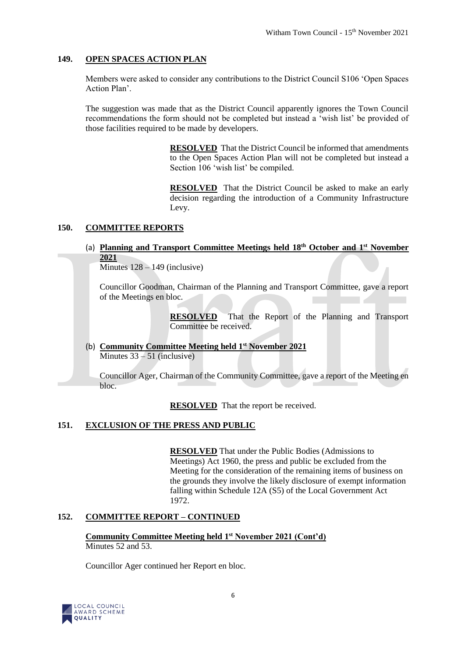#### **149. OPEN SPACES ACTION PLAN**

Members were asked to consider any contributions to the District Council S106 'Open Spaces Action Plan'.

The suggestion was made that as the District Council apparently ignores the Town Council recommendations the form should not be completed but instead a 'wish list' be provided of those facilities required to be made by developers.

> **RESOLVED** That the District Council be informed that amendments to the Open Spaces Action Plan will not be completed but instead a Section 106 'wish list' be compiled.

> **RESOLVED** That the District Council be asked to make an early decision regarding the introduction of a Community Infrastructure Levy.

#### **150. COMMITTEE REPORTS**

## (a) **Planning and Transport Committee Meetings held 18th October and 1st November 2021**

Minutes  $128 - 149$  (inclusive)

Councillor Goodman, Chairman of the Planning and Transport Committee, gave a report of the Meetings en bloc.

> **RESOLVED** That the Report of the Planning and Transport Committee be received.

(b) **Community Committee Meeting held 1st November 2021**  Minutes  $33 - 51$  (inclusive)

Councillor Ager, Chairman of the Community Committee, gave a report of the Meeting en bloc.

**RESOLVED** That the report be received.

#### **151. EXCLUSION OF THE PRESS AND PUBLIC**

**RESOLVED** That under the Public Bodies (Admissions to Meetings) Act 1960, the press and public be excluded from the Meeting for the consideration of the remaining items of business on the grounds they involve the likely disclosure of exempt information falling within Schedule 12A (S5) of the Local Government Act 1972.

#### **152. COMMITTEE REPORT – CONTINUED**

**Community Committee Meeting held 1st November 2021 (Cont'd)** Minutes 52 and 53.

Councillor Ager continued her Report en bloc.